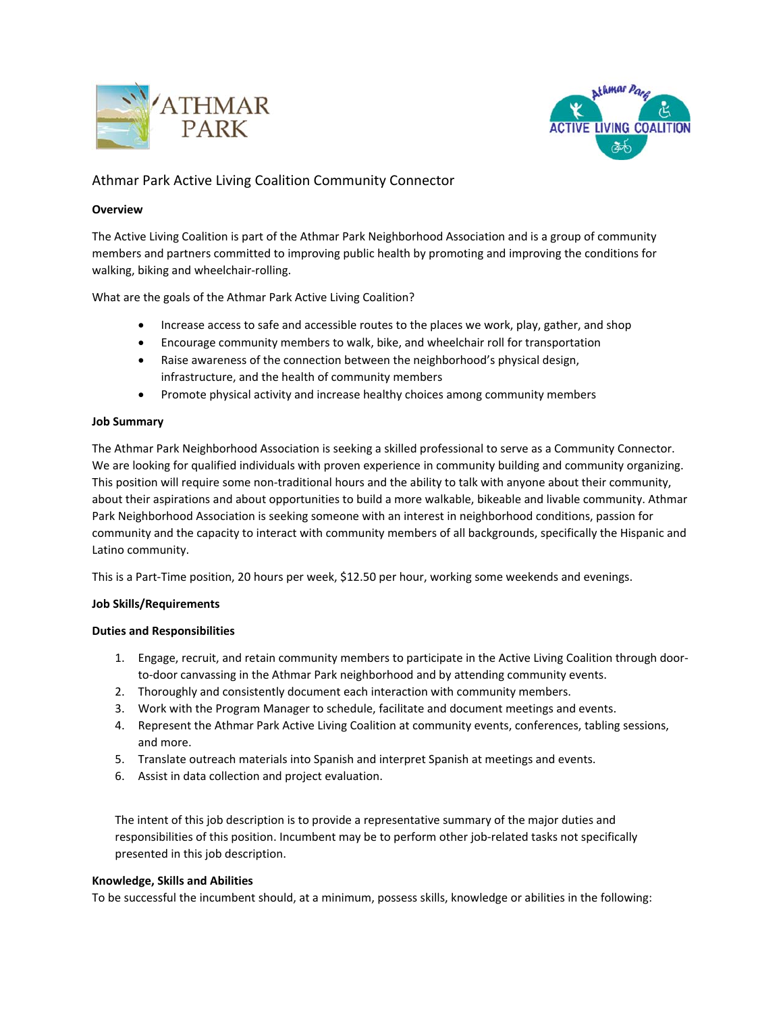



# Athmar Park Active Living Coalition Community Connector

### **Overview**

The Active Living Coalition is part of the Athmar Park Neighborhood Association and is a group of community members and partners committed to improving public health by promoting and improving the conditions for walking, biking and wheelchair‐rolling.

What are the goals of the Athmar Park Active Living Coalition?

- Increase access to safe and accessible routes to the places we work, play, gather, and shop
- Encourage community members to walk, bike, and wheelchair roll for transportation
- Raise awareness of the connection between the neighborhood's physical design, infrastructure, and the health of community members
- Promote physical activity and increase healthy choices among community members

#### **Job Summary**

The Athmar Park Neighborhood Association is seeking a skilled professional to serve as a Community Connector. We are looking for qualified individuals with proven experience in community building and community organizing. This position will require some non-traditional hours and the ability to talk with anyone about their community, about their aspirations and about opportunities to build a more walkable, bikeable and livable community. Athmar Park Neighborhood Association is seeking someone with an interest in neighborhood conditions, passion for community and the capacity to interact with community members of all backgrounds, specifically the Hispanic and Latino community.

This is a Part‐Time position, 20 hours per week, \$12.50 per hour, working some weekends and evenings.

#### **Job Skills/Requirements**

#### **Duties and Responsibilities**

- 1. Engage, recruit, and retain community members to participate in the Active Living Coalition through door‐ to-door canvassing in the Athmar Park neighborhood and by attending community events.
- 2. Thoroughly and consistently document each interaction with community members.
- 3. Work with the Program Manager to schedule, facilitate and document meetings and events.
- 4. Represent the Athmar Park Active Living Coalition at community events, conferences, tabling sessions, and more.
- 5. Translate outreach materials into Spanish and interpret Spanish at meetings and events.
- 6. Assist in data collection and project evaluation.

The intent of this job description is to provide a representative summary of the major duties and responsibilities of this position. Incumbent may be to perform other job-related tasks not specifically presented in this job description.

#### **Knowledge, Skills and Abilities**

To be successful the incumbent should, at a minimum, possess skills, knowledge or abilities in the following: